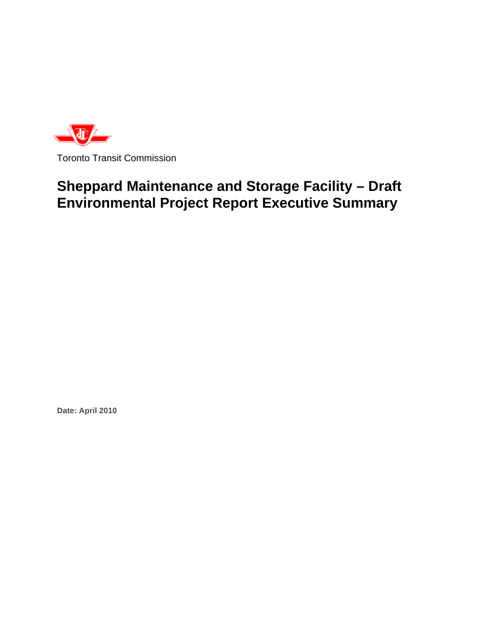

Toronto Transit Commission

# **Sheppard Maintenance and Storage Facility – Draft Environmental Project Report Executive Summary**

**Date: April 2010**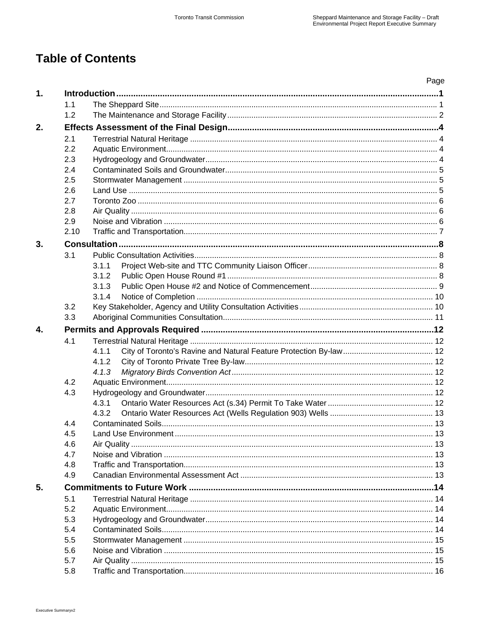# **Table of Contents**

|               |      |       | Page |
|---------------|------|-------|------|
| $\mathbf 1$ . |      |       |      |
|               | 1.1  |       |      |
|               | 1.2  |       |      |
| 2.            |      |       |      |
|               | 2.1  |       |      |
|               | 2.2  |       |      |
|               | 2.3  |       |      |
|               | 2.4  |       |      |
|               | 2.5  |       |      |
|               | 2.6  |       |      |
|               | 2.7  |       |      |
|               | 2.8  |       |      |
|               | 2.9  |       |      |
|               | 2.10 |       |      |
| 3.            |      |       |      |
|               | 3.1  |       |      |
|               |      | 3.1.1 |      |
|               |      | 3.1.2 |      |
|               |      | 3.1.3 |      |
|               |      | 3.1.4 |      |
|               | 3.2  |       |      |
|               | 3.3  |       |      |
| $\mathbf{4}$  |      |       |      |
|               | 4.1  |       |      |
|               |      | 4.1.1 |      |
|               |      | 4.1.2 |      |
|               |      | 4.1.3 |      |
|               | 4.2  |       |      |
|               | 4.3  |       |      |
|               |      | 4.3.1 |      |
|               |      | 4.3.2 |      |
|               | 4.4  |       |      |
|               | 4.5  |       |      |
|               | 4.6  |       |      |
|               | 4.7  |       |      |
|               | 4.8  |       |      |
|               | 4.9  |       |      |
| 5.            |      |       |      |
|               | 5.1  |       |      |
|               | 5.2  |       |      |
|               | 5.3  |       |      |
|               | 5.4  |       |      |
|               | 5.5  |       |      |
|               | 5.6  |       |      |
|               | 5.7  |       |      |
|               | 5.8  |       |      |
|               |      |       |      |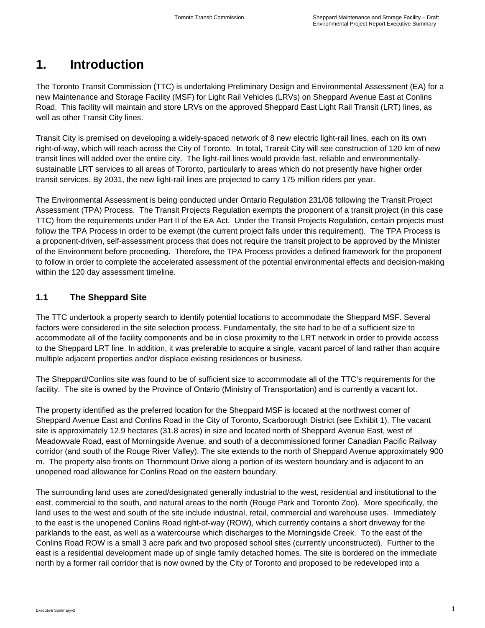# <span id="page-2-0"></span>**1. Introduction**

The Toronto Transit Commission (TTC) is undertaking Preliminary Design and Environmental Assessment (EA) for a new Maintenance and Storage Facility (MSF) for Light Rail Vehicles (LRVs) on Sheppard Avenue East at Conlins Road. This facility will maintain and store LRVs on the approved Sheppard East Light Rail Transit (LRT) lines, as well as other Transit City lines.

Transit City is premised on developing a widely-spaced network of 8 new electric light-rail lines, each on its own right-of-way, which will reach across the City of Toronto. In total, Transit City will see construction of 120 km of new transit lines will added over the entire city. The light-rail lines would provide fast, reliable and environmentallysustainable LRT services to all areas of Toronto, particularly to areas which do not presently have higher order transit services. By 2031, the new light-rail lines are projected to carry 175 million riders per year.

The Environmental Assessment is being conducted under Ontario Regulation 231/08 following the Transit Project Assessment (TPA) Process. The Transit Projects Regulation exempts the proponent of a transit project (in this case TTC) from the requirements under Part II of the EA Act. Under the Transit Projects Regulation, certain projects must follow the TPA Process in order to be exempt (the current project falls under this requirement). The TPA Process is a proponent-driven, self-assessment process that does not require the transit project to be approved by the Minister of the Environment before proceeding. Therefore, the TPA Process provides a defined framework for the proponent to follow in order to complete the accelerated assessment of the potential environmental effects and decision-making within the 120 day assessment timeline.

## **1.1 The Sheppard Site**

The TTC undertook a property search to identify potential locations to accommodate the Sheppard MSF. Several factors were considered in the site selection process. Fundamentally, the site had to be of a sufficient size to accommodate all of the facility components and be in close proximity to the LRT network in order to provide access to the Sheppard LRT line. In addition, it was preferable to acquire a single, vacant parcel of land rather than acquire multiple adjacent properties and/or displace existing residences or business.

The Sheppard/Conlins site was found to be of sufficient size to accommodate all of the TTC's requirements for the facility. The site is owned by the Province of Ontario (Ministry of Transportation) and is currently a vacant lot.

The property identified as the preferred location for the Sheppard MSF is located at the northwest corner of Sheppard Avenue East and Conlins Road in the City of Toronto, Scarborough District (see Exhibit 1). The vacant site is approximately 12.9 hectares (31.8 acres) in size and located north of Sheppard Avenue East, west of Meadowvale Road, east of Morningside Avenue, and south of a decommissioned former Canadian Pacific Railway corridor (and south of the Rouge River Valley). The site extends to the north of Sheppard Avenue approximately 900 m. The property also fronts on Thornmount Drive along a portion of its western boundary and is adjacent to an unopened road allowance for Conlins Road on the eastern boundary.

The surrounding land uses are zoned/designated generally industrial to the west, residential and institutional to the east, commercial to the south, and natural areas to the north (Rouge Park and Toronto Zoo). More specifically, the land uses to the west and south of the site include industrial, retail, commercial and warehouse uses. Immediately to the east is the unopened Conlins Road right-of-way (ROW), which currently contains a short driveway for the parklands to the east, as well as a watercourse which discharges to the Morningside Creek. To the east of the Conlins Road ROW is a small 3 acre park and two proposed school sites (currently unconstructed). Further to the east is a residential development made up of single family detached homes. The site is bordered on the immediate north by a former rail corridor that is now owned by the City of Toronto and proposed to be redeveloped into a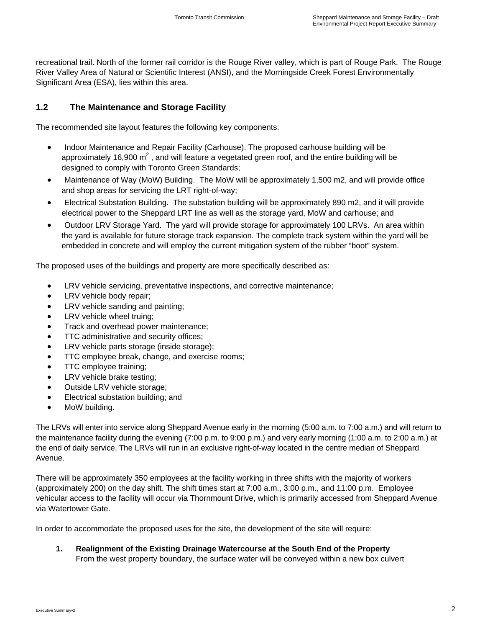<span id="page-3-0"></span>recreational trail. North of the former rail corridor is the Rouge River valley, which is part of Rouge Park. The Rouge River Valley Area of Natural or Scientific Interest (ANSI), and the Morningside Creek Forest Environmentally Significant Area (ESA), lies within this area.

## **1.2 The Maintenance and Storage Facility**

The recommended site layout features the following key components:

- Indoor Maintenance and Repair Facility (Carhouse). The proposed carhouse building will be approximately 16,900 m<sup>2</sup>, and will feature a vegetated green roof, and the entire building will be designed to comply with Toronto Green Standards;
- Maintenance of Way (MoW) Building. The MoW will be approximately 1,500 m2, and will provide office and shop areas for servicing the LRT right-of-way;
- Electrical Substation Building. The substation building will be approximately 890 m2, and it will provide electrical power to the Sheppard LRT line as well as the storage yard, MoW and carhouse; and
- Outdoor LRV Storage Yard. The yard will provide storage for approximately 100 LRVs. An area within the yard is available for future storage track expansion. The complete track system within the yard will be embedded in concrete and will employ the current mitigation system of the rubber "boot" system.

The proposed uses of the buildings and property are more specifically described as:

- LRV vehicle servicing, preventative inspections, and corrective maintenance;
- LRV vehicle body repair;
- LRV vehicle sanding and painting;
- LRV vehicle wheel truing;
- Track and overhead power maintenance;
- TTC administrative and security offices;
- LRV vehicle parts storage (inside storage);
- TTC employee break, change, and exercise rooms;
- TTC employee training;
- LRV vehicle brake testing;
- Outside LRV vehicle storage;
- Electrical substation building; and
- MoW building.

The LRVs will enter into service along Sheppard Avenue early in the morning (5:00 a.m. to 7:00 a.m.) and will return to the maintenance facility during the evening (7:00 p.m. to 9:00 p.m.) and very early morning (1:00 a.m. to 2:00 a.m.) at the end of daily service. The LRVs will run in an exclusive right-of-way located in the centre median of Sheppard Avenue.

There will be approximately 350 employees at the facility working in three shifts with the majority of workers (approximately 200) on the day shift. The shift times start at 7:00 a.m., 3:00 p.m., and 11:00 p.m. Employee vehicular access to the facility will occur via Thornmount Drive, which is primarily accessed from Sheppard Avenue via Watertower Gate.

In order to accommodate the proposed uses for the site, the development of the site will require:

**1. Realignment of the Existing Drainage Watercourse at the South End of the Property**  From the west property boundary, the surface water will be conveyed within a new box culvert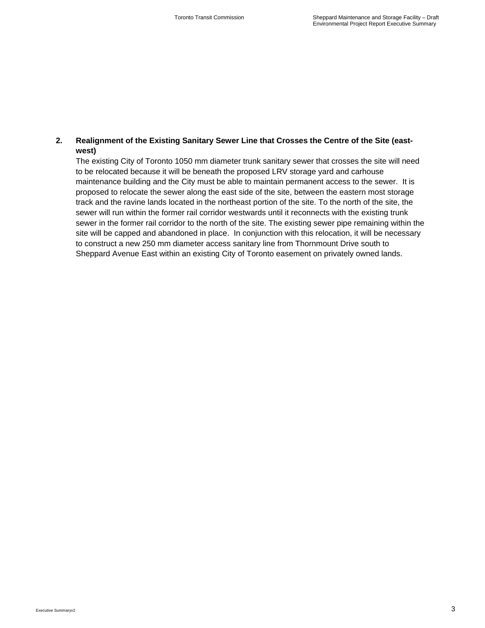#### **2. Realignment of the Existing Sanitary Sewer Line that Crosses the Centre of the Site (eastwest)**

The existing City of Toronto 1050 mm diameter trunk sanitary sewer that crosses the site will need to be relocated because it will be beneath the proposed LRV storage yard and carhouse maintenance building and the City must be able to maintain permanent access to the sewer. It is proposed to relocate the sewer along the east side of the site, between the eastern most storage track and the ravine lands located in the northeast portion of the site. To the north of the site, the sewer will run within the former rail corridor westwards until it reconnects with the existing trunk sewer in the former rail corridor to the north of the site. The existing sewer pipe remaining within the site will be capped and abandoned in place. In conjunction with this relocation, it will be necessary to construct a new 250 mm diameter access sanitary line from Thornmount Drive south to Sheppard Avenue East within an existing City of Toronto easement on privately owned lands.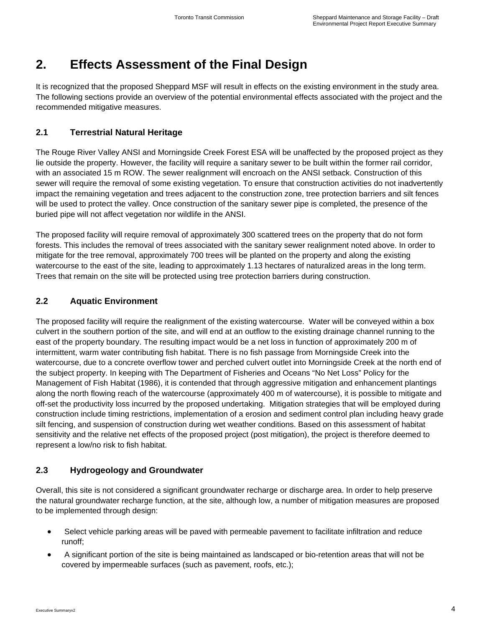# <span id="page-5-0"></span>**2. Effects Assessment of the Final Design**

It is recognized that the proposed Sheppard MSF will result in effects on the existing environment in the study area. The following sections provide an overview of the potential environmental effects associated with the project and the recommended mitigative measures.

# **2.1 Terrestrial Natural Heritage**

The Rouge River Valley ANSI and Morningside Creek Forest ESA will be unaffected by the proposed project as they lie outside the property. However, the facility will require a sanitary sewer to be built within the former rail corridor, with an associated 15 m ROW. The sewer realignment will encroach on the ANSI setback. Construction of this sewer will require the removal of some existing vegetation. To ensure that construction activities do not inadvertently impact the remaining vegetation and trees adjacent to the construction zone, tree protection barriers and silt fences will be used to protect the valley. Once construction of the sanitary sewer pipe is completed, the presence of the buried pipe will not affect vegetation nor wildlife in the ANSI.

The proposed facility will require removal of approximately 300 scattered trees on the property that do not form forests. This includes the removal of trees associated with the sanitary sewer realignment noted above. In order to mitigate for the tree removal, approximately 700 trees will be planted on the property and along the existing watercourse to the east of the site, leading to approximately 1.13 hectares of naturalized areas in the long term. Trees that remain on the site will be protected using tree protection barriers during construction.

# **2.2 Aquatic Environment**

The proposed facility will require the realignment of the existing watercourse. Water will be conveyed within a box culvert in the southern portion of the site, and will end at an outflow to the existing drainage channel running to the east of the property boundary. The resulting impact would be a net loss in function of approximately 200 m of intermittent, warm water contributing fish habitat. There is no fish passage from Morningside Creek into the watercourse, due to a concrete overflow tower and perched culvert outlet into Morningside Creek at the north end of the subject property. In keeping with The Department of Fisheries and Oceans "No Net Loss" Policy for the Management of Fish Habitat (1986), it is contended that through aggressive mitigation and enhancement plantings along the north flowing reach of the watercourse (approximately 400 m of watercourse), it is possible to mitigate and off-set the productivity loss incurred by the proposed undertaking. Mitigation strategies that will be employed during construction include timing restrictions, implementation of a erosion and sediment control plan including heavy grade silt fencing, and suspension of construction during wet weather conditions. Based on this assessment of habitat sensitivity and the relative net effects of the proposed project (post mitigation), the project is therefore deemed to represent a low/no risk to fish habitat.

# **2.3 Hydrogeology and Groundwater**

Overall, this site is not considered a significant groundwater recharge or discharge area. In order to help preserve the natural groundwater recharge function, at the site, although low, a number of mitigation measures are proposed to be implemented through design:

- Select vehicle parking areas will be paved with permeable pavement to facilitate infiltration and reduce runoff;
- A significant portion of the site is being maintained as landscaped or bio-retention areas that will not be covered by impermeable surfaces (such as pavement, roofs, etc.);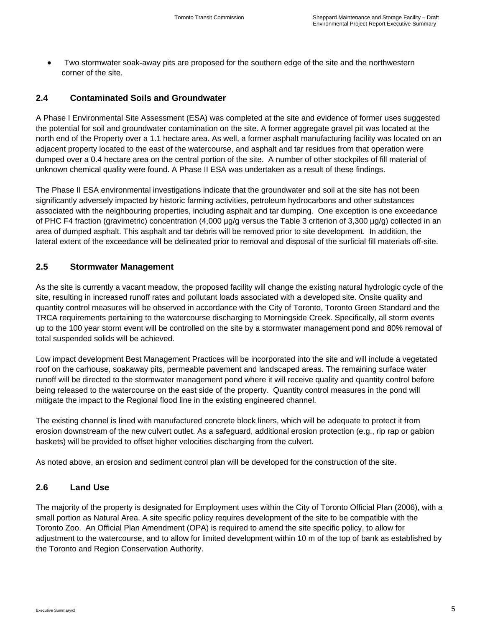<span id="page-6-0"></span>• Two stormwater soak-away pits are proposed for the southern edge of the site and the northwestern corner of the site.

## **2.4 Contaminated Soils and Groundwater**

A Phase I Environmental Site Assessment (ESA) was completed at the site and evidence of former uses suggested the potential for soil and groundwater contamination on the site. A former aggregate gravel pit was located at the north end of the Property over a 1.1 hectare area. As well, a former asphalt manufacturing facility was located on an adjacent property located to the east of the watercourse, and asphalt and tar residues from that operation were dumped over a 0.4 hectare area on the central portion of the site. A number of other stockpiles of fill material of unknown chemical quality were found. A Phase II ESA was undertaken as a result of these findings.

The Phase II ESA environmental investigations indicate that the groundwater and soil at the site has not been significantly adversely impacted by historic farming activities, petroleum hydrocarbons and other substances associated with the neighbouring properties, including asphalt and tar dumping. One exception is one exceedance of PHC F4 fraction (gravimetric) concentration (4,000  $\mu$ g/g versus the Table 3 criterion of 3,300  $\mu$ g/g) collected in an area of dumped asphalt. This asphalt and tar debris will be removed prior to site development. In addition, the lateral extent of the exceedance will be delineated prior to removal and disposal of the surficial fill materials off-site.

## **2.5 Stormwater Management**

As the site is currently a vacant meadow, the proposed facility will change the existing natural hydrologic cycle of the site, resulting in increased runoff rates and pollutant loads associated with a developed site. Onsite quality and quantity control measures will be observed in accordance with the City of Toronto, Toronto Green Standard and the TRCA requirements pertaining to the watercourse discharging to Morningside Creek. Specifically, all storm events up to the 100 year storm event will be controlled on the site by a stormwater management pond and 80% removal of total suspended solids will be achieved.

Low impact development Best Management Practices will be incorporated into the site and will include a vegetated roof on the carhouse, soakaway pits, permeable pavement and landscaped areas. The remaining surface water runoff will be directed to the stormwater management pond where it will receive quality and quantity control before being released to the watercourse on the east side of the property. Quantity control measures in the pond will mitigate the impact to the Regional flood line in the existing engineered channel.

The existing channel is lined with manufactured concrete block liners, which will be adequate to protect it from erosion downstream of the new culvert outlet. As a safeguard, additional erosion protection (e.g., rip rap or gabion baskets) will be provided to offset higher velocities discharging from the culvert.

As noted above, an erosion and sediment control plan will be developed for the construction of the site.

## **2.6 Land Use**

The majority of the property is designated for Employment uses within the City of Toronto Official Plan (2006), with a small portion as Natural Area. A site specific policy requires development of the site to be compatible with the Toronto Zoo. An Official Plan Amendment (OPA) is required to amend the site specific policy, to allow for adjustment to the watercourse, and to allow for limited development within 10 m of the top of bank as established by the Toronto and Region Conservation Authority.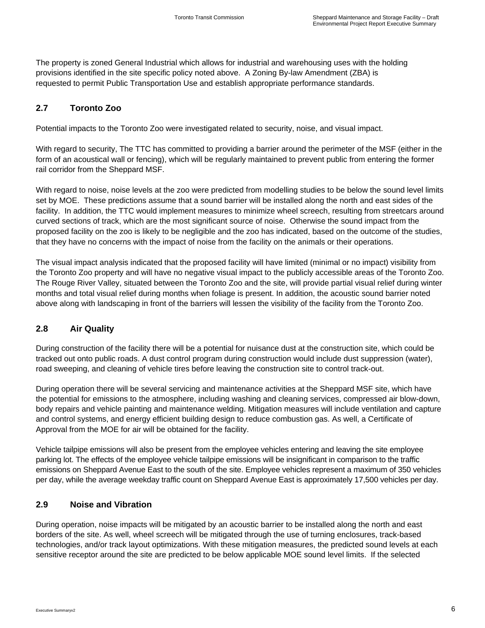<span id="page-7-0"></span>The property is zoned General Industrial which allows for industrial and warehousing uses with the holding provisions identified in the site specific policy noted above. A Zoning By-law Amendment (ZBA) is requested to permit Public Transportation Use and establish appropriate performance standards.

## **2.7 Toronto Zoo**

Potential impacts to the Toronto Zoo were investigated related to security, noise, and visual impact.

With regard to security, The TTC has committed to providing a barrier around the perimeter of the MSF (either in the form of an acoustical wall or fencing), which will be regularly maintained to prevent public from entering the former rail corridor from the Sheppard MSF.

With regard to noise, noise levels at the zoo were predicted from modelling studies to be below the sound level limits set by MOE. These predictions assume that a sound barrier will be installed along the north and east sides of the facility. In addition, the TTC would implement measures to minimize wheel screech, resulting from streetcars around curved sections of track, which are the most significant source of noise. Otherwise the sound impact from the proposed facility on the zoo is likely to be negligible and the zoo has indicated, based on the outcome of the studies, that they have no concerns with the impact of noise from the facility on the animals or their operations.

The visual impact analysis indicated that the proposed facility will have limited (minimal or no impact) visibility from the Toronto Zoo property and will have no negative visual impact to the publicly accessible areas of the Toronto Zoo. The Rouge River Valley, situated between the Toronto Zoo and the site, will provide partial visual relief during winter months and total visual relief during months when foliage is present. In addition, the acoustic sound barrier noted above along with landscaping in front of the barriers will lessen the visibility of the facility from the Toronto Zoo.

## **2.8 Air Quality**

During construction of the facility there will be a potential for nuisance dust at the construction site, which could be tracked out onto public roads. A dust control program during construction would include dust suppression (water), road sweeping, and cleaning of vehicle tires before leaving the construction site to control track-out.

During operation there will be several servicing and maintenance activities at the Sheppard MSF site, which have the potential for emissions to the atmosphere, including washing and cleaning services, compressed air blow-down, body repairs and vehicle painting and maintenance welding. Mitigation measures will include ventilation and capture and control systems, and energy efficient building design to reduce combustion gas. As well, a Certificate of Approval from the MOE for air will be obtained for the facility.

Vehicle tailpipe emissions will also be present from the employee vehicles entering and leaving the site employee parking lot. The effects of the employee vehicle tailpipe emissions will be insignificant in comparison to the traffic emissions on Sheppard Avenue East to the south of the site. Employee vehicles represent a maximum of 350 vehicles per day, while the average weekday traffic count on Sheppard Avenue East is approximately 17,500 vehicles per day.

## **2.9 Noise and Vibration**

During operation, noise impacts will be mitigated by an acoustic barrier to be installed along the north and east borders of the site. As well, wheel screech will be mitigated through the use of turning enclosures, track-based technologies, and/or track layout optimizations. With these mitigation measures, the predicted sound levels at each sensitive receptor around the site are predicted to be below applicable MOE sound level limits. If the selected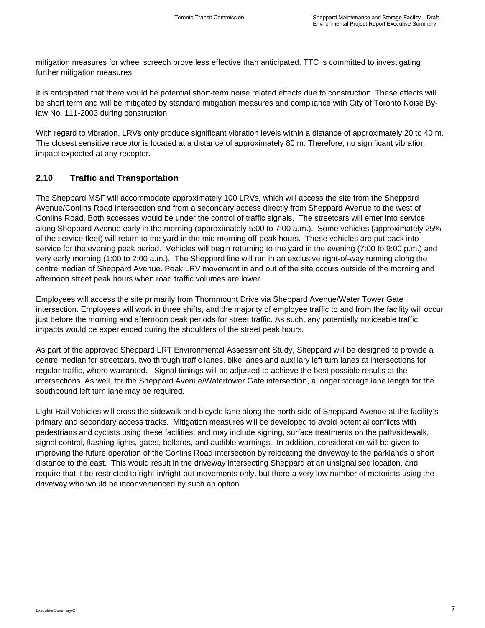<span id="page-8-0"></span>mitigation measures for wheel screech prove less effective than anticipated, TTC is committed to investigating further mitigation measures.

It is anticipated that there would be potential short-term noise related effects due to construction. These effects will be short term and will be mitigated by standard mitigation measures and compliance with City of Toronto Noise Bylaw No. 111-2003 during construction.

With regard to vibration, LRVs only produce significant vibration levels within a distance of approximately 20 to 40 m. The closest sensitive receptor is located at a distance of approximately 80 m. Therefore, no significant vibration impact expected at any receptor.

## **2.10 Traffic and Transportation**

The Sheppard MSF will accommodate approximately 100 LRVs, which will access the site from the Sheppard Avenue/Conlins Road intersection and from a secondary access directly from Sheppard Avenue to the west of Conlins Road. Both accesses would be under the control of traffic signals. The streetcars will enter into service along Sheppard Avenue early in the morning (approximately 5:00 to 7:00 a.m.). Some vehicles (approximately 25% of the service fleet) will return to the yard in the mid morning off-peak hours. These vehicles are put back into service for the evening peak period. Vehicles will begin returning to the yard in the evening (7:00 to 9:00 p.m.) and very early morning (1:00 to 2:00 a.m.). The Sheppard line will run in an exclusive right-of-way running along the centre median of Sheppard Avenue. Peak LRV movement in and out of the site occurs outside of the morning and afternoon street peak hours when road traffic volumes are lower.

Employees will access the site primarily from Thornmount Drive via Sheppard Avenue/Water Tower Gate intersection. Employees will work in three shifts, and the majority of employee traffic to and from the facility will occur just before the morning and afternoon peak periods for street traffic. As such, any potentially noticeable traffic impacts would be experienced during the shoulders of the street peak hours.

As part of the approved Sheppard LRT Environmental Assessment Study, Sheppard will be designed to provide a centre median for streetcars, two through traffic lanes, bike lanes and auxiliary left turn lanes at intersections for regular traffic, where warranted. Signal timings will be adjusted to achieve the best possible results at the intersections. As well, for the Sheppard Avenue/Watertower Gate intersection, a longer storage lane length for the southbound left turn lane may be required.

Light Rail Vehicles will cross the sidewalk and bicycle lane along the north side of Sheppard Avenue at the facility's primary and secondary access tracks. Mitigation measures will be developed to avoid potential conflicts with pedestrians and cyclists using these facilities, and may include signing, surface treatments on the path/sidewalk, signal control, flashing lights, gates, bollards, and audible warnings. In addition, consideration will be given to improving the future operation of the Conlins Road intersection by relocating the driveway to the parklands a short distance to the east. This would result in the driveway intersecting Sheppard at an unsignalised location, and require that it be restricted to right-in/right-out movements only, but there a very low number of motorists using the driveway who would be inconvenienced by such an option.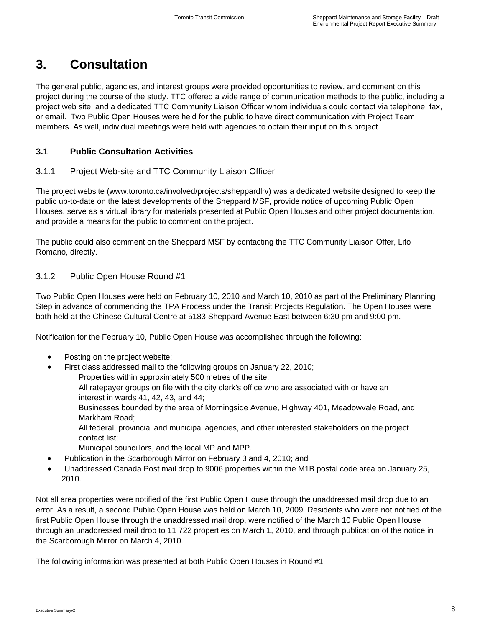# <span id="page-9-0"></span>**3. Consultation**

The general public, agencies, and interest groups were provided opportunities to review, and comment on this project during the course of the study. TTC offered a wide range of communication methods to the public, including a project web site, and a dedicated TTC Community Liaison Officer whom individuals could contact via telephone, fax, or email. Two Public Open Houses were held for the public to have direct communication with Project Team members. As well, individual meetings were held with agencies to obtain their input on this project.

## **3.1 Public Consultation Activities**

#### 3.1.1 Project Web-site and TTC Community Liaison Officer

The project website [\(www.toronto.ca/involved/projects/sheppardlrv](http://www.toronto.ca/involved/projects/sheppardlrv)) was a dedicated website designed to keep the public up-to-date on the latest developments of the Sheppard MSF, provide notice of upcoming Public Open Houses, serve as a virtual library for materials presented at Public Open Houses and other project documentation, and provide a means for the public to comment on the project.

The public could also comment on the Sheppard MSF by contacting the TTC Community Liaison Offer, Lito Romano, directly.

## 3.1.2 Public Open House Round #1

Two Public Open Houses were held on February 10, 2010 and March 10, 2010 as part of the Preliminary Planning Step in advance of commencing the TPA Process under the Transit Projects Regulation. The Open Houses were both held at the Chinese Cultural Centre at 5183 Sheppard Avenue East between 6:30 pm and 9:00 pm.

Notification for the February 10, Public Open House was accomplished through the following:

- Posting on the project website;
- First class addressed mail to the following groups on January 22, 2010;
	- − Properties within approximately 500 metres of the site;
	- All ratepayer groups on file with the city clerk's office who are associated with or have an interest in wards 41, 42, 43, and 44;
	- − Businesses bounded by the area of Morningside Avenue, Highway 401, Meadowvale Road, and Markham Road;
	- − All federal, provincial and municipal agencies, and other interested stakeholders on the project contact list;
	- − Municipal councillors, and the local MP and MPP.
- Publication in the Scarborough Mirror on February 3 and 4, 2010; and
- Unaddressed Canada Post mail drop to 9006 properties within the M1B postal code area on January 25, 2010.

Not all area properties were notified of the first Public Open House through the unaddressed mail drop due to an error. As a result, a second Public Open House was held on March 10, 2009. Residents who were not notified of the first Public Open House through the unaddressed mail drop, were notified of the March 10 Public Open House through an unaddressed mail drop to 11 722 properties on March 1, 2010, and through publication of the notice in the Scarborough Mirror on March 4, 2010.

The following information was presented at both Public Open Houses in Round #1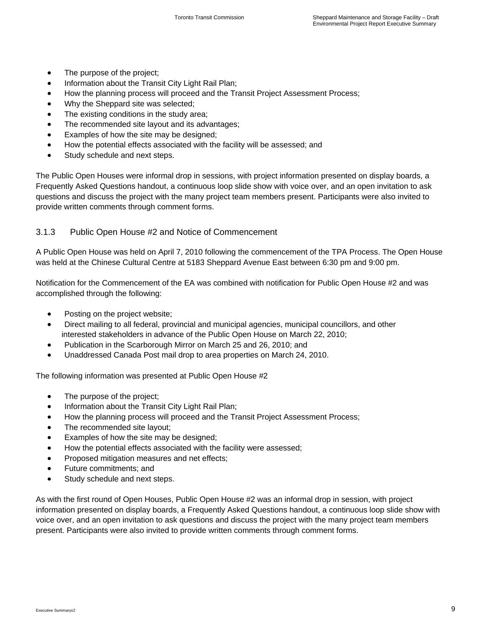- <span id="page-10-0"></span>• The purpose of the project;
- Information about the Transit City Light Rail Plan;
- How the planning process will proceed and the Transit Project Assessment Process;
- Why the Sheppard site was selected;
- The existing conditions in the study area;
- The recommended site layout and its advantages;
- Examples of how the site may be designed;
- How the potential effects associated with the facility will be assessed; and
- Study schedule and next steps.

The Public Open Houses were informal drop in sessions, with project information presented on display boards, a Frequently Asked Questions handout, a continuous loop slide show with voice over, and an open invitation to ask questions and discuss the project with the many project team members present. Participants were also invited to provide written comments through comment forms.

#### 3.1.3 Public Open House #2 and Notice of Commencement

A Public Open House was held on April 7, 2010 following the commencement of the TPA Process. The Open House was held at the Chinese Cultural Centre at 5183 Sheppard Avenue East between 6:30 pm and 9:00 pm.

Notification for the Commencement of the EA was combined with notification for Public Open House #2 and was accomplished through the following:

- Posting on the project website;
- Direct mailing to all federal, provincial and municipal agencies, municipal councillors, and other interested stakeholders in advance of the Public Open House on March 22, 2010;
- Publication in the Scarborough Mirror on March 25 and 26, 2010; and
- Unaddressed Canada Post mail drop to area properties on March 24, 2010.

The following information was presented at Public Open House #2

- The purpose of the project;
- Information about the Transit City Light Rail Plan;
- How the planning process will proceed and the Transit Project Assessment Process;
- The recommended site layout;
- Examples of how the site may be designed;
- How the potential effects associated with the facility were assessed;
- Proposed mitigation measures and net effects;
- Future commitments; and
- Study schedule and next steps.

As with the first round of Open Houses, Public Open House #2 was an informal drop in session, with project information presented on display boards, a Frequently Asked Questions handout, a continuous loop slide show with voice over, and an open invitation to ask questions and discuss the project with the many project team members present. Participants were also invited to provide written comments through comment forms.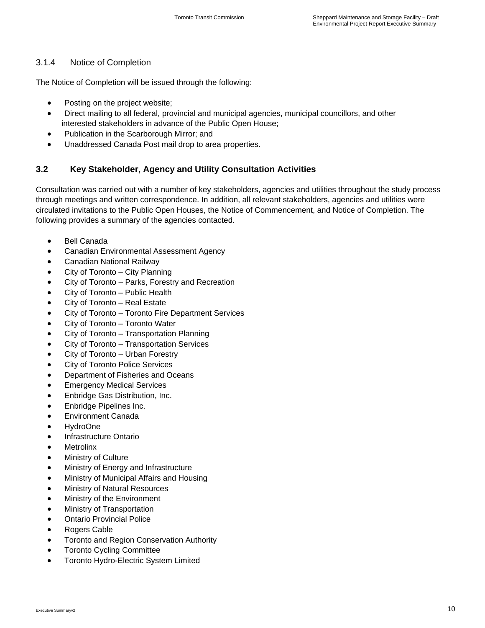## <span id="page-11-0"></span>3.1.4 Notice of Completion

The Notice of Completion will be issued through the following:

- Posting on the project website;
- Direct mailing to all federal, provincial and municipal agencies, municipal councillors, and other interested stakeholders in advance of the Public Open House;
- Publication in the Scarborough Mirror; and
- Unaddressed Canada Post mail drop to area properties.

## **3.2 Key Stakeholder, Agency and Utility Consultation Activities**

Consultation was carried out with a number of key stakeholders, agencies and utilities throughout the study process through meetings and written correspondence. In addition, all relevant stakeholders, agencies and utilities were circulated invitations to the Public Open Houses, the Notice of Commencement, and Notice of Completion. The following provides a summary of the agencies contacted.

- Bell Canada
- Canadian Environmental Assessment Agency
- Canadian National Railway
- City of Toronto City Planning
- City of Toronto Parks, Forestry and Recreation
- City of Toronto Public Health
- City of Toronto Real Estate
- City of Toronto Toronto Fire Department Services
- City of Toronto Toronto Water
- City of Toronto Transportation Planning
- City of Toronto Transportation Services
- City of Toronto Urban Forestry
- City of Toronto Police Services
- Department of Fisheries and Oceans
- **Emergency Medical Services**
- Enbridge Gas Distribution, Inc.
- Enbridge Pipelines Inc.
- Environment Canada
- HydroOne
- Infrastructure Ontario
- Metrolinx
- Ministry of Culture
- Ministry of Energy and Infrastructure
- Ministry of Municipal Affairs and Housing
- Ministry of Natural Resources
- Ministry of the Environment
- Ministry of Transportation
- Ontario Provincial Police
- Rogers Cable
- Toronto and Region Conservation Authority
- Toronto Cycling Committee
- Toronto Hydro-Electric System Limited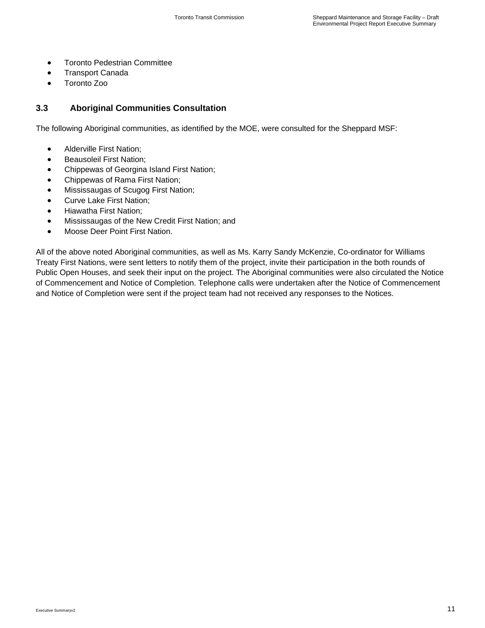- <span id="page-12-0"></span>• Toronto Pedestrian Committee
- Transport Canada
- Toronto Zoo

## **3.3 Aboriginal Communities Consultation**

The following Aboriginal communities, as identified by the MOE, were consulted for the Sheppard MSF:

- Alderville First Nation;
- Beausoleil First Nation;
- Chippewas of Georgina Island First Nation;
- Chippewas of Rama First Nation;
- Mississaugas of Scugog First Nation;
- Curve Lake First Nation;
- Hiawatha First Nation;
- Mississaugas of the New Credit First Nation; and
- Moose Deer Point First Nation.

All of the above noted Aboriginal communities, as well as Ms. Karry Sandy McKenzie, Co-ordinator for Williams Treaty First Nations, were sent letters to notify them of the project, invite their participation in the both rounds of Public Open Houses, and seek their input on the project. The Aboriginal communities were also circulated the Notice of Commencement and Notice of Completion. Telephone calls were undertaken after the Notice of Commencement and Notice of Completion were sent if the project team had not received any responses to the Notices.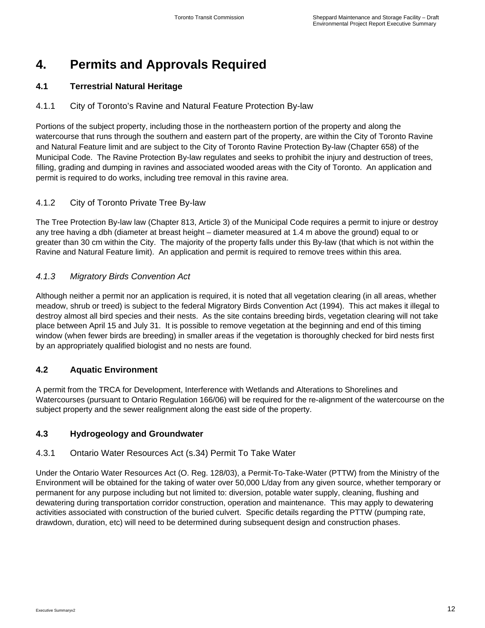# <span id="page-13-0"></span>**4. Permits and Approvals Required**

# **4.1 Terrestrial Natural Heritage**

# 4.1.1 City of Toronto's Ravine and Natural Feature Protection By-law

Portions of the subject property, including those in the northeastern portion of the property and along the watercourse that runs through the southern and eastern part of the property, are within the City of Toronto Ravine and Natural Feature limit and are subject to the City of Toronto Ravine Protection By-law (Chapter 658) of the Municipal Code. The Ravine Protection By-law regulates and seeks to prohibit the injury and destruction of trees, filling, grading and dumping in ravines and associated wooded areas with the City of Toronto. An application and permit is required to do works, including tree removal in this ravine area.

## 4.1.2 City of Toronto Private Tree By-law

The Tree Protection By-law law (Chapter 813, Article 3) of the Municipal Code requires a permit to injure or destroy any tree having a dbh (diameter at breast height – diameter measured at 1.4 m above the ground) equal to or greater than 30 cm within the City. The majority of the property falls under this By-law (that which is not within the Ravine and Natural Feature limit). An application and permit is required to remove trees within this area.

# *4.1.3 Migratory Birds Convention Act*

Although neither a permit nor an application is required, it is noted that all vegetation clearing (in all areas, whether meadow, shrub or treed) is subject to the federal Migratory Birds Convention Act (1994). This act makes it illegal to destroy almost all bird species and their nests. As the site contains breeding birds, vegetation clearing will not take place between April 15 and July 31. It is possible to remove vegetation at the beginning and end of this timing window (when fewer birds are breeding) in smaller areas if the vegetation is thoroughly checked for bird nests first by an appropriately qualified biologist and no nests are found.

# **4.2 Aquatic Environment**

A permit from the TRCA for Development, Interference with Wetlands and Alterations to Shorelines and Watercourses (pursuant to Ontario Regulation 166/06) will be required for the re-alignment of the watercourse on the subject property and the sewer realignment along the east side of the property.

# **4.3 Hydrogeology and Groundwater**

## 4.3.1 Ontario Water Resources Act (s.34) Permit To Take Water

Under the Ontario Water Resources Act (O. Reg. 128/03), a Permit-To-Take-Water (PTTW) from the Ministry of the Environment will be obtained for the taking of water over 50,000 L/day from any given source, whether temporary or permanent for any purpose including but not limited to: diversion, potable water supply, cleaning, flushing and dewatering during transportation corridor construction, operation and maintenance. This may apply to dewatering activities associated with construction of the buried culvert. Specific details regarding the PTTW (pumping rate, drawdown, duration, etc) will need to be determined during subsequent design and construction phases.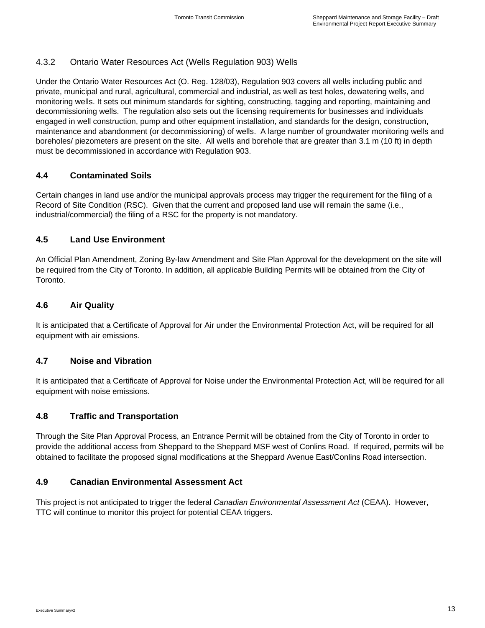## <span id="page-14-0"></span>4.3.2 Ontario Water Resources Act (Wells Regulation 903) Wells

Under the Ontario Water Resources Act (O. Reg. 128/03), Regulation 903 covers all wells including public and private, municipal and rural, agricultural, commercial and industrial, as well as test holes, dewatering wells, and monitoring wells. It sets out minimum standards for sighting, constructing, tagging and reporting, maintaining and decommissioning wells. The regulation also sets out the licensing requirements for businesses and individuals engaged in well construction, pump and other equipment installation, and standards for the design, construction, maintenance and abandonment (or decommissioning) of wells. A large number of groundwater monitoring wells and boreholes/ piezometers are present on the site. All wells and borehole that are greater than 3.1 m (10 ft) in depth must be decommissioned in accordance with Regulation 903.

## **4.4 Contaminated Soils**

Certain changes in land use and/or the municipal approvals process may trigger the requirement for the filing of a Record of Site Condition (RSC). Given that the current and proposed land use will remain the same (i.e., industrial/commercial) the filing of a RSC for the property is not mandatory.

## **4.5 Land Use Environment**

An Official Plan Amendment, Zoning By-law Amendment and Site Plan Approval for the development on the site will be required from the City of Toronto. In addition, all applicable Building Permits will be obtained from the City of Toronto.

## **4.6 Air Quality**

It is anticipated that a Certificate of Approval for Air under the Environmental Protection Act, will be required for all equipment with air emissions.

## **4.7 Noise and Vibration**

It is anticipated that a Certificate of Approval for Noise under the Environmental Protection Act, will be required for all equipment with noise emissions.

## **4.8 Traffic and Transportation**

Through the Site Plan Approval Process, an Entrance Permit will be obtained from the City of Toronto in order to provide the additional access from Sheppard to the Sheppard MSF west of Conlins Road. If required, permits will be obtained to facilitate the proposed signal modifications at the Sheppard Avenue East/Conlins Road intersection.

## **4.9 Canadian Environmental Assessment Act**

This project is not anticipated to trigger the federal *Canadian Environmental Assessment Act* (CEAA). However, TTC will continue to monitor this project for potential CEAA triggers.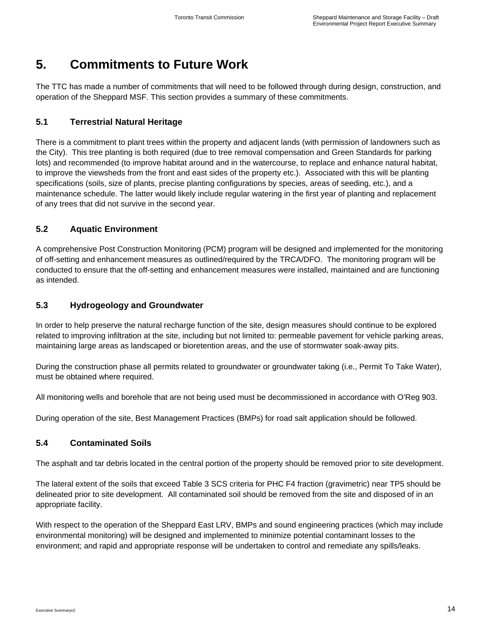# <span id="page-15-0"></span>**5. Commitments to Future Work**

The TTC has made a number of commitments that will need to be followed through during design, construction, and operation of the Sheppard MSF. This section provides a summary of these commitments.

## **5.1 Terrestrial Natural Heritage**

There is a commitment to plant trees within the property and adjacent lands (with permission of landowners such as the City). This tree planting is both required (due to tree removal compensation and Green Standards for parking lots) and recommended (to improve habitat around and in the watercourse, to replace and enhance natural habitat, to improve the viewsheds from the front and east sides of the property etc.). Associated with this will be planting specifications (soils, size of plants, precise planting configurations by species, areas of seeding, etc.), and a maintenance schedule. The latter would likely include regular watering in the first year of planting and replacement of any trees that did not survive in the second year.

# **5.2 Aquatic Environment**

A comprehensive Post Construction Monitoring (PCM) program will be designed and implemented for the monitoring of off-setting and enhancement measures as outlined/required by the TRCA/DFO. The monitoring program will be conducted to ensure that the off-setting and enhancement measures were installed, maintained and are functioning as intended.

## **5.3 Hydrogeology and Groundwater**

In order to help preserve the natural recharge function of the site, design measures should continue to be explored related to improving infiltration at the site, including but not limited to: permeable pavement for vehicle parking areas, maintaining large areas as landscaped or bioretention areas, and the use of stormwater soak-away pits.

During the construction phase all permits related to groundwater or groundwater taking (i.e., Permit To Take Water), must be obtained where required.

All monitoring wells and borehole that are not being used must be decommissioned in accordance with O'Reg 903.

During operation of the site, Best Management Practices (BMPs) for road salt application should be followed.

## **5.4 Contaminated Soils**

The asphalt and tar debris located in the central portion of the property should be removed prior to site development.

The lateral extent of the soils that exceed Table 3 SCS criteria for PHC F4 fraction (gravimetric) near TP5 should be delineated prior to site development. All contaminated soil should be removed from the site and disposed of in an appropriate facility.

With respect to the operation of the Sheppard East LRV, BMPs and sound engineering practices (which may include environmental monitoring) will be designed and implemented to minimize potential contaminant losses to the environment; and rapid and appropriate response will be undertaken to control and remediate any spills/leaks.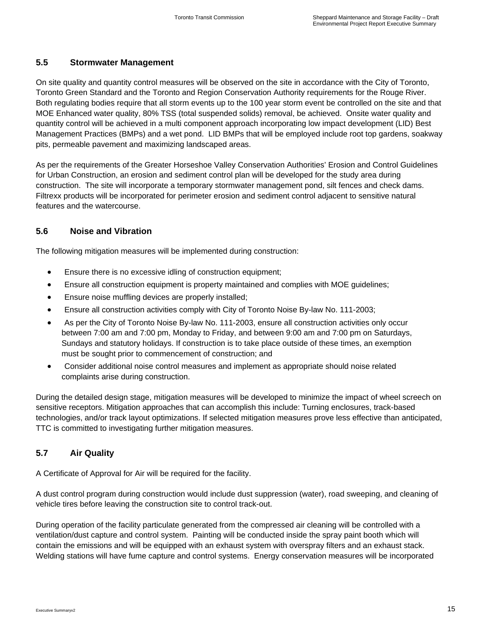## <span id="page-16-0"></span>**5.5 Stormwater Management**

On site quality and quantity control measures will be observed on the site in accordance with the City of Toronto, Toronto Green Standard and the Toronto and Region Conservation Authority requirements for the Rouge River. Both regulating bodies require that all storm events up to the 100 year storm event be controlled on the site and that MOE Enhanced water quality, 80% TSS (total suspended solids) removal, be achieved. Onsite water quality and quantity control will be achieved in a multi component approach incorporating low impact development (LID) Best Management Practices (BMPs) and a wet pond. LID BMPs that will be employed include root top gardens, soakway pits, permeable pavement and maximizing landscaped areas.

As per the requirements of the Greater Horseshoe Valley Conservation Authorities' Erosion and Control Guidelines for Urban Construction, an erosion and sediment control plan will be developed for the study area during construction. The site will incorporate a temporary stormwater management pond, silt fences and check dams. Filtrexx products will be incorporated for perimeter erosion and sediment control adjacent to sensitive natural features and the watercourse.

## **5.6 Noise and Vibration**

The following mitigation measures will be implemented during construction:

- Ensure there is no excessive idling of construction equipment;
- Ensure all construction equipment is property maintained and complies with MOE guidelines;
- Ensure noise muffling devices are properly installed;
- Ensure all construction activities comply with City of Toronto Noise By-law No. 111-2003;
- As per the City of Toronto Noise By-law No. 111-2003, ensure all construction activities only occur between 7:00 am and 7:00 pm, Monday to Friday, and between 9:00 am and 7:00 pm on Saturdays, Sundays and statutory holidays. If construction is to take place outside of these times, an exemption must be sought prior to commencement of construction; and
- Consider additional noise control measures and implement as appropriate should noise related complaints arise during construction.

During the detailed design stage, mitigation measures will be developed to minimize the impact of wheel screech on sensitive receptors. Mitigation approaches that can accomplish this include: Turning enclosures, track-based technologies, and/or track layout optimizations. If selected mitigation measures prove less effective than anticipated, TTC is committed to investigating further mitigation measures.

## **5.7 Air Quality**

A Certificate of Approval for Air will be required for the facility.

A dust control program during construction would include dust suppression (water), road sweeping, and cleaning of vehicle tires before leaving the construction site to control track-out.

During operation of the facility particulate generated from the compressed air cleaning will be controlled with a ventilation/dust capture and control system. Painting will be conducted inside the spray paint booth which will contain the emissions and will be equipped with an exhaust system with overspray filters and an exhaust stack. Welding stations will have fume capture and control systems. Energy conservation measures will be incorporated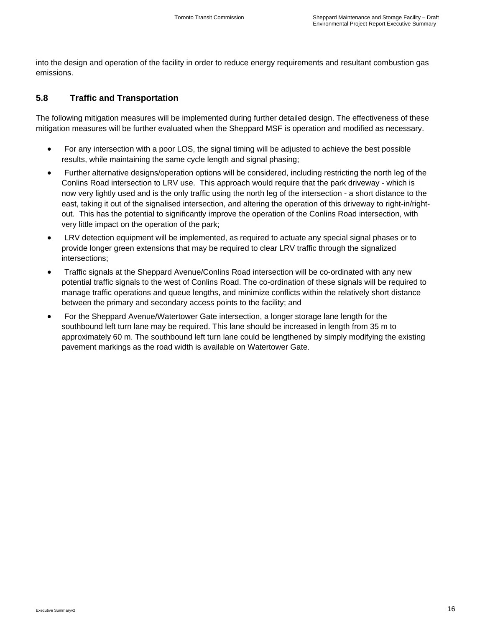<span id="page-17-0"></span>into the design and operation of the facility in order to reduce energy requirements and resultant combustion gas emissions.

## **5.8 Traffic and Transportation**

The following mitigation measures will be implemented during further detailed design. The effectiveness of these mitigation measures will be further evaluated when the Sheppard MSF is operation and modified as necessary.

- For any intersection with a poor LOS, the signal timing will be adjusted to achieve the best possible results, while maintaining the same cycle length and signal phasing;
- Further alternative designs/operation options will be considered, including restricting the north leg of the Conlins Road intersection to LRV use. This approach would require that the park driveway - which is now very lightly used and is the only traffic using the north leg of the intersection - a short distance to the east, taking it out of the signalised intersection, and altering the operation of this driveway to right-in/rightout. This has the potential to significantly improve the operation of the Conlins Road intersection, with very little impact on the operation of the park;
- LRV detection equipment will be implemented, as required to actuate any special signal phases or to provide longer green extensions that may be required to clear LRV traffic through the signalized intersections;
- Traffic signals at the Sheppard Avenue/Conlins Road intersection will be co-ordinated with any new potential traffic signals to the west of Conlins Road. The co-ordination of these signals will be required to manage traffic operations and queue lengths, and minimize conflicts within the relatively short distance between the primary and secondary access points to the facility; and
- For the Sheppard Avenue/Watertower Gate intersection, a longer storage lane length for the southbound left turn lane may be required. This lane should be increased in length from 35 m to approximately 60 m. The southbound left turn lane could be lengthened by simply modifying the existing pavement markings as the road width is available on Watertower Gate.